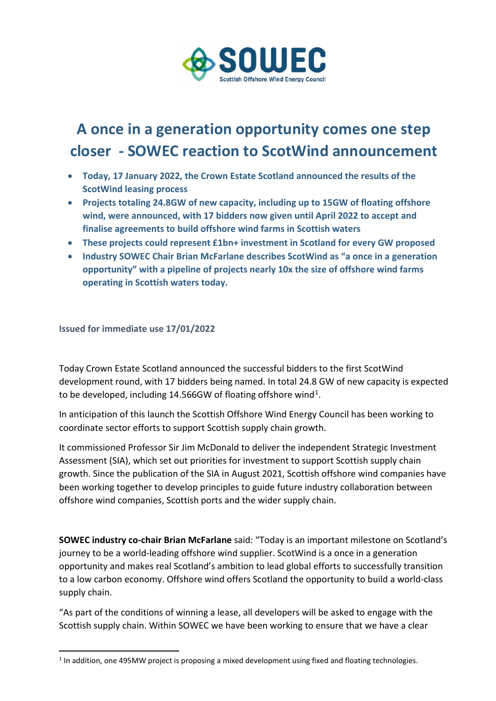

## **A once in a generation opportunity comes one step closer - SOWEC reaction to ScotWind announcement**

- **Today, 17 January 2022, the Crown Estate Scotland announced the results of the ScotWind leasing process**
- **Projects totaling 24.8GW of new capacity, including up to 15GW of floating offshore wind, were announced, with 17 bidders now given until April 2022 to accept and finalise agreements to build offshore wind farms in Scottish waters**
- **These projects could represent £1bn+ investment in Scotland for every GW proposed**
- **Industry SOWEC Chair Brian McFarlane describes ScotWind as "a once in a generation opportunity" with a pipeline of projects nearly 10x the size of offshore wind farms operating in Scottish waters today.**

**Issued for immediate use 17/01/2022**

Today Crown Estate Scotland announced the successful bidders to the first ScotWind development round, with 17 bidders being named. In total 24.8 GW of new capacity is expected to be developed, including [1](#page-0-0)4.566GW of floating offshore wind<sup>1</sup>.

In anticipation of this launch the Scottish Offshore Wind Energy Council has been working to coordinate sector efforts to support Scottish supply chain growth.

It commissioned Professor Sir Jim McDonald to deliver the independent Strategic Investment Assessment (SIA), which set out priorities for investment to support Scottish supply chain growth. Since the publication of the SIA in August 2021, Scottish offshore wind companies have been working together to develop principles to guide future industry collaboration between offshore wind companies, Scottish ports and the wider supply chain.

**SOWEC industry co-chair Brian McFarlane** said: "Today is an important milestone on Scotland's journey to be a world-leading offshore wind supplier. ScotWind is a once in a generation opportunity and makes real Scotland's ambition to lead global efforts to successfully transition to a low carbon economy. Offshore wind offers Scotland the opportunity to build a world-class supply chain.

"As part of the conditions of winning a lease, all developers will be asked to engage with the Scottish supply chain. Within SOWEC we have been working to ensure that we have a clear

<span id="page-0-0"></span> $1$  In addition, one 495MW project is proposing a mixed development using fixed and floating technologies.